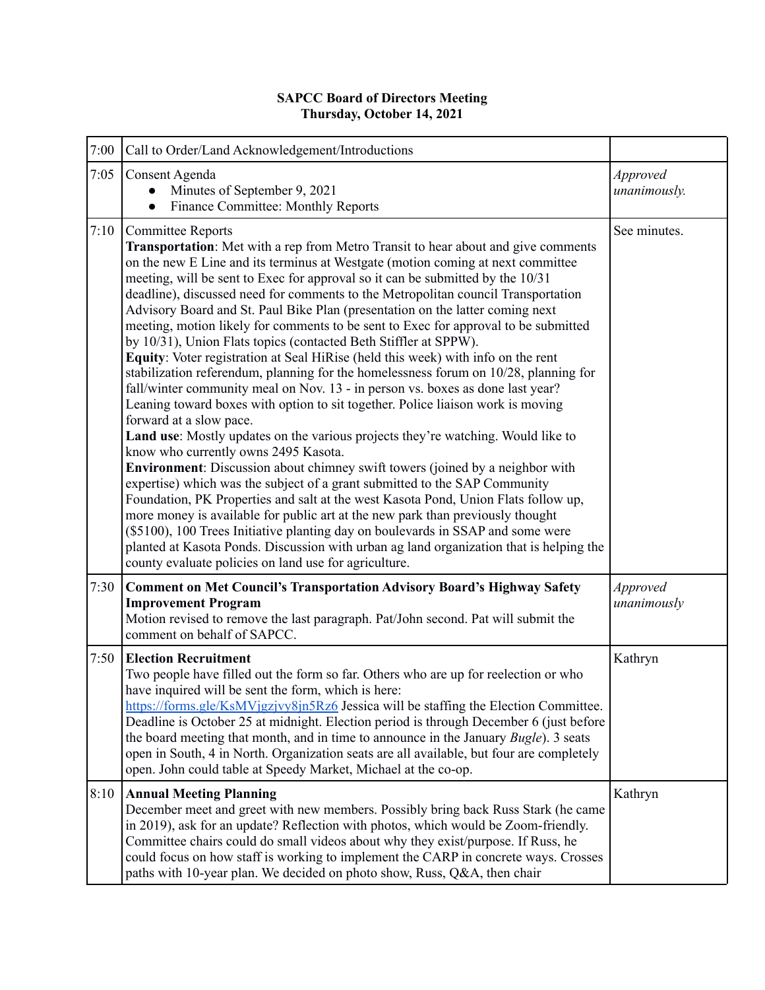## **SAPCC Board of Directors Meeting Thursday, October 14, 2021**

| 7:00 | Call to Order/Land Acknowledgement/Introductions                                                                                                                                                                                                                                                                                                                                                                                                                                                                                                                                                                                                                                                                                                                                                                                                                                                                                                                                                                                                                                                                                                                                                                                                                                                                                                                                                                                                                                                                                                                                                                                                                                                                         |                          |
|------|--------------------------------------------------------------------------------------------------------------------------------------------------------------------------------------------------------------------------------------------------------------------------------------------------------------------------------------------------------------------------------------------------------------------------------------------------------------------------------------------------------------------------------------------------------------------------------------------------------------------------------------------------------------------------------------------------------------------------------------------------------------------------------------------------------------------------------------------------------------------------------------------------------------------------------------------------------------------------------------------------------------------------------------------------------------------------------------------------------------------------------------------------------------------------------------------------------------------------------------------------------------------------------------------------------------------------------------------------------------------------------------------------------------------------------------------------------------------------------------------------------------------------------------------------------------------------------------------------------------------------------------------------------------------------------------------------------------------------|--------------------------|
| 7:05 | Consent Agenda<br>Minutes of September 9, 2021<br>$\bullet$<br>Finance Committee: Monthly Reports<br>$\bullet$                                                                                                                                                                                                                                                                                                                                                                                                                                                                                                                                                                                                                                                                                                                                                                                                                                                                                                                                                                                                                                                                                                                                                                                                                                                                                                                                                                                                                                                                                                                                                                                                           | Approved<br>unanimously. |
| 7:10 | <b>Committee Reports</b><br><b>Transportation</b> : Met with a rep from Metro Transit to hear about and give comments<br>on the new E Line and its terminus at Westgate (motion coming at next committee<br>meeting, will be sent to Exec for approval so it can be submitted by the 10/31<br>deadline), discussed need for comments to the Metropolitan council Transportation<br>Advisory Board and St. Paul Bike Plan (presentation on the latter coming next<br>meeting, motion likely for comments to be sent to Exec for approval to be submitted<br>by 10/31), Union Flats topics (contacted Beth Stiffler at SPPW).<br>Equity: Voter registration at Seal HiRise (held this week) with info on the rent<br>stabilization referendum, planning for the homelessness forum on 10/28, planning for<br>fall/winter community meal on Nov. 13 - in person vs. boxes as done last year?<br>Leaning toward boxes with option to sit together. Police liaison work is moving<br>forward at a slow pace.<br>Land use: Mostly updates on the various projects they're watching. Would like to<br>know who currently owns 2495 Kasota.<br><b>Environment:</b> Discussion about chimney swift towers (joined by a neighbor with<br>expertise) which was the subject of a grant submitted to the SAP Community<br>Foundation, PK Properties and salt at the west Kasota Pond, Union Flats follow up,<br>more money is available for public art at the new park than previously thought<br>(\$5100), 100 Trees Initiative planting day on boulevards in SSAP and some were<br>planted at Kasota Ponds. Discussion with urban ag land organization that is helping the<br>county evaluate policies on land use for agriculture. | See minutes.             |
| 7:30 | <b>Comment on Met Council's Transportation Advisory Board's Highway Safety</b><br><b>Improvement Program</b><br>Motion revised to remove the last paragraph. Pat/John second. Pat will submit the<br>comment on behalf of SAPCC.                                                                                                                                                                                                                                                                                                                                                                                                                                                                                                                                                                                                                                                                                                                                                                                                                                                                                                                                                                                                                                                                                                                                                                                                                                                                                                                                                                                                                                                                                         | Approved<br>unanimously  |
| 7:50 | <b>Election Recruitment</b><br>Two people have filled out the form so far. Others who are up for reelection or who<br>have inquired will be sent the form, which is here:<br>https://forms.gle/KsMVjgzjvy8jn5Rz6 Jessica will be staffing the Election Committee.<br>Deadline is October 25 at midnight. Election period is through December 6 (just before<br>the board meeting that month, and in time to announce in the January Bugle). 3 seats<br>open in South, 4 in North. Organization seats are all available, but four are completely<br>open. John could table at Speedy Market, Michael at the co-op.                                                                                                                                                                                                                                                                                                                                                                                                                                                                                                                                                                                                                                                                                                                                                                                                                                                                                                                                                                                                                                                                                                        | Kathryn                  |
| 8:10 | <b>Annual Meeting Planning</b><br>December meet and greet with new members. Possibly bring back Russ Stark (he came<br>in 2019), ask for an update? Reflection with photos, which would be Zoom-friendly.<br>Committee chairs could do small videos about why they exist/purpose. If Russ, he<br>could focus on how staff is working to implement the CARP in concrete ways. Crosses<br>paths with 10-year plan. We decided on photo show, Russ, Q&A, then chair                                                                                                                                                                                                                                                                                                                                                                                                                                                                                                                                                                                                                                                                                                                                                                                                                                                                                                                                                                                                                                                                                                                                                                                                                                                         | Kathryn                  |